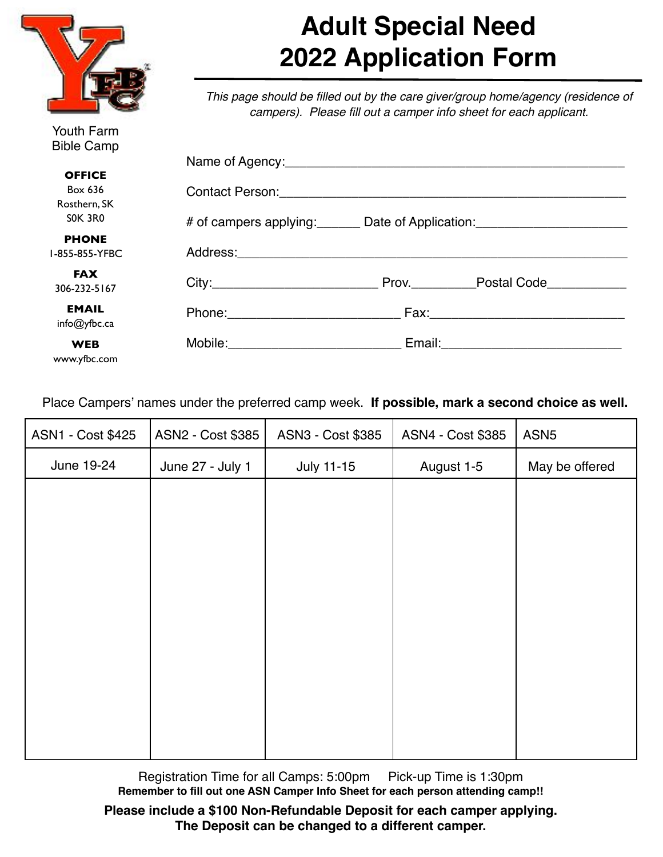

Youth Farm Bible Camp

www.yfbc.com

## **Adult Special Need 2022 Application Form**

*This page should be filled out by the care giver/group home/agency (residence of campers). Please fill out a camper info sheet for each applicant.*

| <b>BIDIE Camp</b> |                                      |  |  |
|-------------------|--------------------------------------|--|--|
|                   |                                      |  |  |
| <b>OFFICE</b>     |                                      |  |  |
| Box 636           |                                      |  |  |
| Rosthern, SK      |                                      |  |  |
| SOK 3RO           |                                      |  |  |
| <b>PHONE</b>      |                                      |  |  |
| I-855-855-YFBC    |                                      |  |  |
| <b>FAX</b>        |                                      |  |  |
| 306-232-5167      |                                      |  |  |
| <b>EMAIL</b>      |                                      |  |  |
| info@yfbc.ca      |                                      |  |  |
|                   |                                      |  |  |
| <b>WEB</b>        | Mobile:_____________________________ |  |  |

Place Campers' names under the preferred camp week. **If possible, mark a second choice as well.**

| ASN1 - Cost \$425 | ASN2 - Cost \$385 | ASN3 - Cost \$385 | ASN4 - Cost \$385 | ASN <sub>5</sub> |
|-------------------|-------------------|-------------------|-------------------|------------------|
| June 19-24        | June 27 - July 1  | <b>July 11-15</b> | August 1-5        | May be offered   |
|                   |                   |                   |                   |                  |
|                   |                   |                   |                   |                  |
|                   |                   |                   |                   |                  |
|                   |                   |                   |                   |                  |
|                   |                   |                   |                   |                  |
|                   |                   |                   |                   |                  |
|                   |                   |                   |                   |                  |
|                   |                   |                   |                   |                  |
|                   |                   |                   |                   |                  |
|                   |                   |                   |                   |                  |

Registration Time for all Camps: 5:00pm Pick-up Time is 1:30pm **Remember to fill out one ASN Camper Info Sheet for each person attending camp!!** 

**Please include a \$100 Non-Refundable Deposit for each camper applying. The Deposit can be changed to a different camper.**